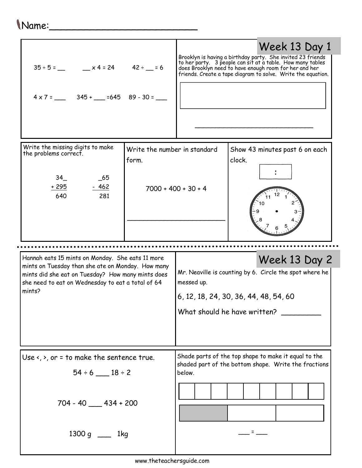## Name:\_\_\_\_\_\_\_\_\_\_\_\_\_\_\_\_\_\_\_\_\_\_\_\_\_

| $35 \div 5 =$ x4=24 42 ÷ 5 = 6                                                                                                                                                                                            |                                       |                                                                                                                                                                 | Brooklyn is having a birthday party. She invited 23 friends<br>to her party. 3 people can sit at a table. How many tables<br>does Brooklyn need to have enough room for her and her<br>friends. Create a tape diagram to solve. Write t | Week 13 Day 1 |
|---------------------------------------------------------------------------------------------------------------------------------------------------------------------------------------------------------------------------|---------------------------------------|-----------------------------------------------------------------------------------------------------------------------------------------------------------------|-----------------------------------------------------------------------------------------------------------------------------------------------------------------------------------------------------------------------------------------|---------------|
| Write the missing digits to make<br>the problems correct.<br>34<br>$-65$<br>$-462$<br><u>+ 295</u><br>640<br>281                                                                                                          | Write the number in standard<br>form. | $7000 + 400 + 30 + 4$                                                                                                                                           | Show 43 minutes past 6 on each<br>clock.                                                                                                                                                                                                |               |
| Hannah eats 15 mints on Monday. She eats 11 more<br>mints on Tuesday than she ate on Monday. How many<br>mints did she eat on Tuesday? How many mints does<br>she need to eat on Wednesday to eat a total of 64<br>mints? |                                       | Week 13 Day 2<br>Mr. Neaville is counting by 6. Circle the spot where he<br>messed up.<br>6, 12, 18, 24, 30, 36, 44, 48, 54, 60<br>What should he have written? |                                                                                                                                                                                                                                         |               |
|                                                                                                                                                                                                                           |                                       |                                                                                                                                                                 |                                                                                                                                                                                                                                         |               |
| Use $\langle$ , $\rangle$ , or = to make the sentence true.<br>$54 \div 6$ 18 ÷ 2<br>$704 - 40$ 434 + 200                                                                                                                 |                                       | below.                                                                                                                                                          | Shade parts of the top shape to make it equal to the<br>shaded part of the bottom shape. Write the fractions                                                                                                                            |               |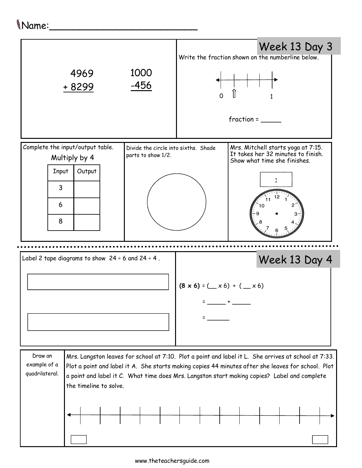## Name:\_\_\_\_\_\_\_\_\_\_\_\_\_\_\_\_\_\_\_\_\_\_\_\_\_